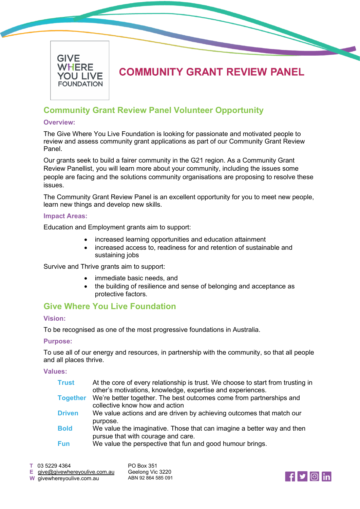

# **COMMUNITY GRANT REVIEW PANEL**

# **Community Grant Review Panel Volunteer Opportunity**

#### **Overview:**

The Give Where You Live Foundation is looking for passionate and motivated people to review and assess community grant applications as part of our Community Grant Review Panel.

Our grants seek to build a fairer community in the G21 region. As a Community Grant Review Panellist, you will learn more about your community, including the issues some people are facing and the solutions community organisations are proposing to resolve these issues.

The Community Grant Review Panel is an excellent opportunity for you to meet new people, learn new things and develop new skills.

#### **Impact Areas:**

Education and Employment grants aim to support:

- increased learning opportunities and education attainment
- increased access to, readiness for and retention of sustainable and sustaining jobs

Survive and Thrive grants aim to support:

- immediate basic needs, and
- the building of resilience and sense of belonging and acceptance as protective factors.

### **Give Where You Live Foundation**

#### **Vision:**

To be recognised as one of the most progressive foundations in Australia.

#### **Purpose:**

To use all of our energy and resources, in partnership with the community, so that all people and all places thrive.

**Values:**

| <b>Trust</b>    | At the core of every relationship is trust. We choose to start from trusting in<br>other's motivations, knowledge, expertise and experiences. |  |
|-----------------|-----------------------------------------------------------------------------------------------------------------------------------------------|--|
| <b>Together</b> | We're better together. The best outcomes come from partnerships and<br>collective know how and action                                         |  |
| <b>Driven</b>   | We value actions and are driven by achieving outcomes that match our<br>purpose.                                                              |  |
| <b>Bold</b>     | We value the imaginative. Those that can imagine a better way and then<br>pursue that with courage and care.                                  |  |
| <b>Fun</b>      | We value the perspective that fun and good humour brings.                                                                                     |  |

**E** [give@givewhereyoulive.com.au](mailto:give@givewhereyoulive.com.au) **W** givewhereyoulive.com.au PO Box 351 Geelong Vic 3220 ABN 92 864 585 091

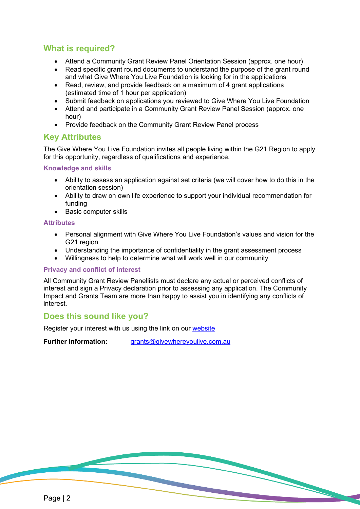# **What is required?**

- Attend a Community Grant Review Panel Orientation Session (approx. one hour)
- Read specific grant round documents to understand the purpose of the grant round and what Give Where You Live Foundation is looking for in the applications
- Read, review, and provide feedback on a maximum of 4 grant applications (estimated time of 1 hour per application)
- Submit feedback on applications you reviewed to Give Where You Live Foundation
- Attend and participate in a Community Grant Review Panel Session (approx. one hour)
- Provide feedback on the Community Grant Review Panel process

### **Key Attributes**

The Give Where You Live Foundation invites all people living within the G21 Region to apply for this opportunity, regardless of qualifications and experience.

#### **Knowledge and skills**

- Ability to assess an application against set criteria (we will cover how to do this in the orientation session)
- Ability to draw on own life experience to support your individual recommendation for funding
- Basic computer skills

#### **Attributes**

- Personal alignment with Give Where You Live Foundation's values and vision for the G<sub>21</sub> region
- Understanding the importance of confidentiality in the grant assessment process
- Willingness to help to determine what will work well in our community

#### **Privacy and conflict of interest**

All Community Grant Review Panellists must declare any actual or perceived conflicts of interest and sign a Privacy declaration prior to assessing any application. The Community Impact and Grants Team are more than happy to assist you in identifying any conflicts of interest.

### **Does this sound like you?**

Register your interest with us using the link on our [website](https://www.givewhereyoulive.com.au/how-you-can-help/community-grant-%e2%80%a8review-panellist)

**Further information:** [grants@givewhereyoulive.com.au](mailto:grants@givewhereyoulive.com.au)